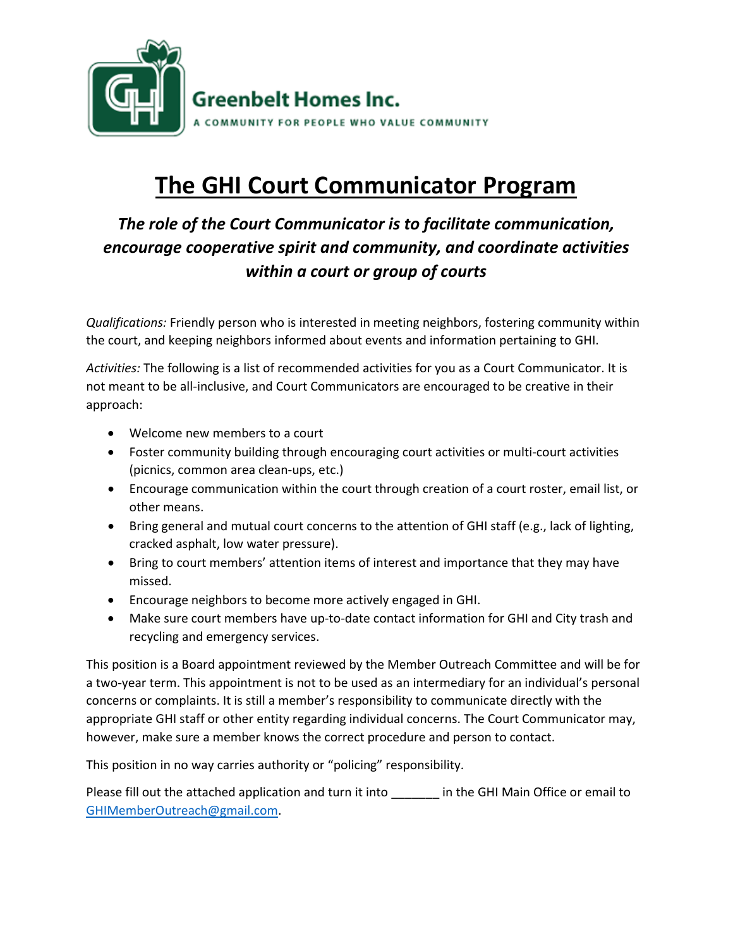

## **The GHI Court Communicator Program**

## *The role of the Court Communicator is to facilitate communication, encourage cooperative spirit and community, and coordinate activities within a court or group of courts*

*Qualifications:* Friendly person who is interested in meeting neighbors, fostering community within the court, and keeping neighbors informed about events and information pertaining to GHI.

*Activities:* The following is a list of recommended activities for you as a Court Communicator. It is not meant to be all-inclusive, and Court Communicators are encouraged to be creative in their approach:

- Welcome new members to a court
- Foster community building through encouraging court activities or multi-court activities (picnics, common area clean-ups, etc.)
- Encourage communication within the court through creation of a court roster, email list, or other means.
- Bring general and mutual court concerns to the attention of GHI staff (e.g., lack of lighting, cracked asphalt, low water pressure).
- Bring to court members' attention items of interest and importance that they may have missed.
- Encourage neighbors to become more actively engaged in GHI.
- Make sure court members have up-to-date contact information for GHI and City trash and recycling and emergency services.

This position is a Board appointment reviewed by the Member Outreach Committee and will be for a two-year term. This appointment is not to be used as an intermediary for an individual's personal concerns or complaints. It is still a member's responsibility to communicate directly with the appropriate GHI staff or other entity regarding individual concerns. The Court Communicator may, however, make sure a member knows the correct procedure and person to contact.

This position in no way carries authority or "policing" responsibility.

Please fill out the attached application and turn it into \_\_\_\_\_\_\_ in the GHI Main Office or email to [GHIMemberOutreach@gmail.com.](mailto:GHIMemberOutreach@gmail.com)